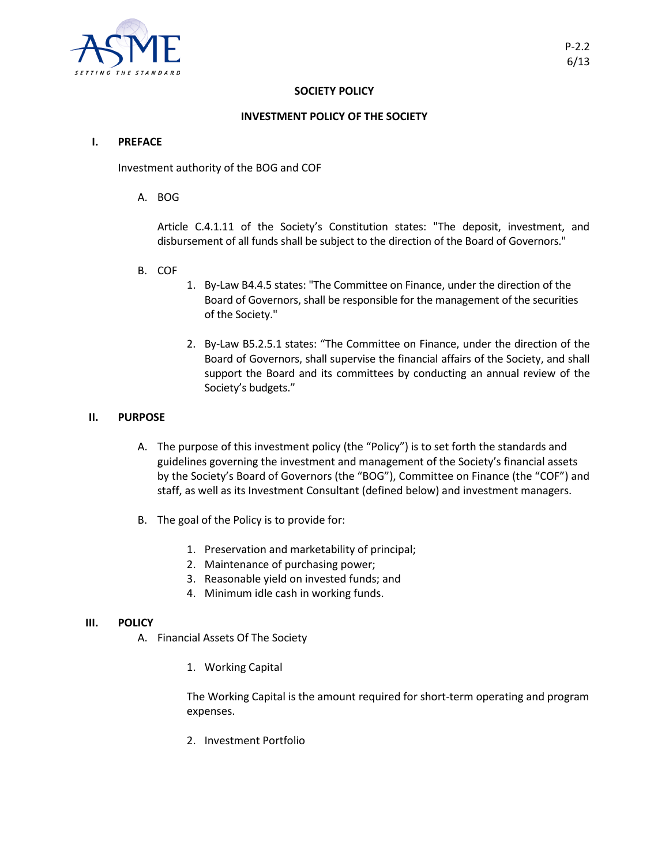

# **SOCIETY POLICY**

# **INVESTMENT POLICY OF THE SOCIETY**

#### **I. PREFACE**

Investment authority of the BOG and COF

A. BOG

Article C.4.1.11 of the Society's Constitution states: "The deposit, investment, and disbursement of all funds shall be subject to the direction of the Board of Governors."

- B. COF
- 1. By-Law B4.4.5 states: "The Committee on Finance, under the direction of the Board of Governors, shall be responsible for the management of the securities of the Society."
- 2. By-Law B5.2.5.1 states: "The Committee on Finance, under the direction of the Board of Governors, shall supervise the financial affairs of the Society, and shall support the Board and its committees by conducting an annual review of the Society's budgets."

### **II. PURPOSE**

- A. The purpose of this investment policy (the "Policy") is to set forth the standards and guidelines governing the investment and management of the Society's financial assets by the Society's Board of Governors (the "BOG"), Committee on Finance (the "COF") and staff, as well as its Investment Consultant (defined below) and investment managers.
- B. The goal of the Policy is to provide for:
	- 1. Preservation and marketability of principal;
	- 2. Maintenance of purchasing power;
	- 3. Reasonable yield on invested funds; and
	- 4. Minimum idle cash in working funds.

### **III. POLICY**

- A. Financial Assets Of The Society
	- 1. Working Capital

The Working Capital is the amount required for short-term operating and program expenses.

2. Investment Portfolio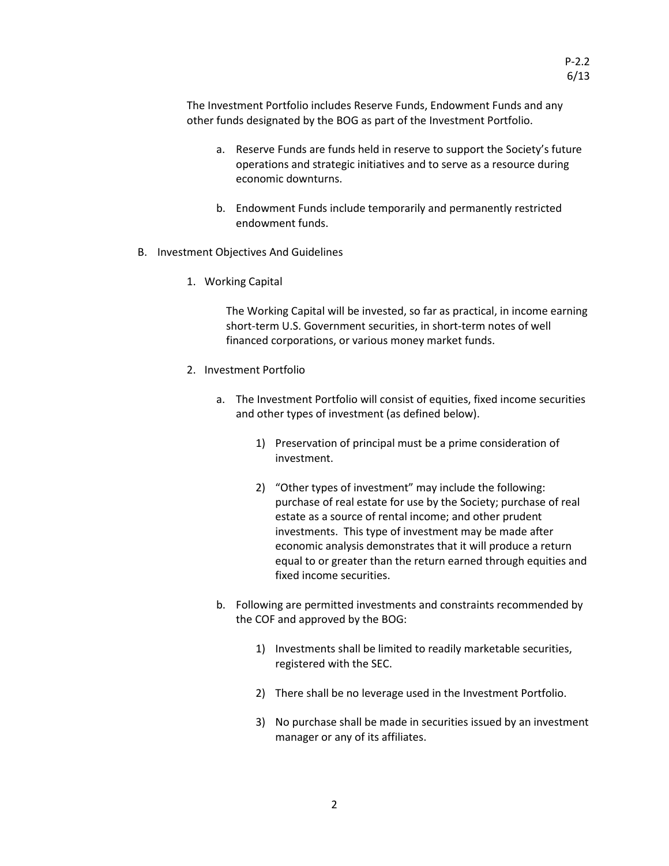The Investment Portfolio includes Reserve Funds, Endowment Funds and any other funds designated by the BOG as part of the Investment Portfolio.

- a. Reserve Funds are funds held in reserve to support the Society's future operations and strategic initiatives and to serve as a resource during economic downturns.
- b. Endowment Funds include temporarily and permanently restricted endowment funds.
- B. Investment Objectives And Guidelines
	- 1. Working Capital

The Working Capital will be invested, so far as practical, in income earning short-term U.S. Government securities, in short-term notes of well financed corporations, or various money market funds.

- 2. Investment Portfolio
	- a. The Investment Portfolio will consist of equities, fixed income securities and other types of investment (as defined below).
		- 1) Preservation of principal must be a prime consideration of investment.
		- 2) "Other types of investment" may include the following: purchase of real estate for use by the Society; purchase of real estate as a source of rental income; and other prudent investments. This type of investment may be made after economic analysis demonstrates that it will produce a return equal to or greater than the return earned through equities and fixed income securities.
	- b. Following are permitted investments and constraints recommended by the COF and approved by the BOG:
		- 1) Investments shall be limited to readily marketable securities, registered with the SEC.
		- 2) There shall be no leverage used in the Investment Portfolio.
		- 3) No purchase shall be made in securities issued by an investment manager or any of its affiliates.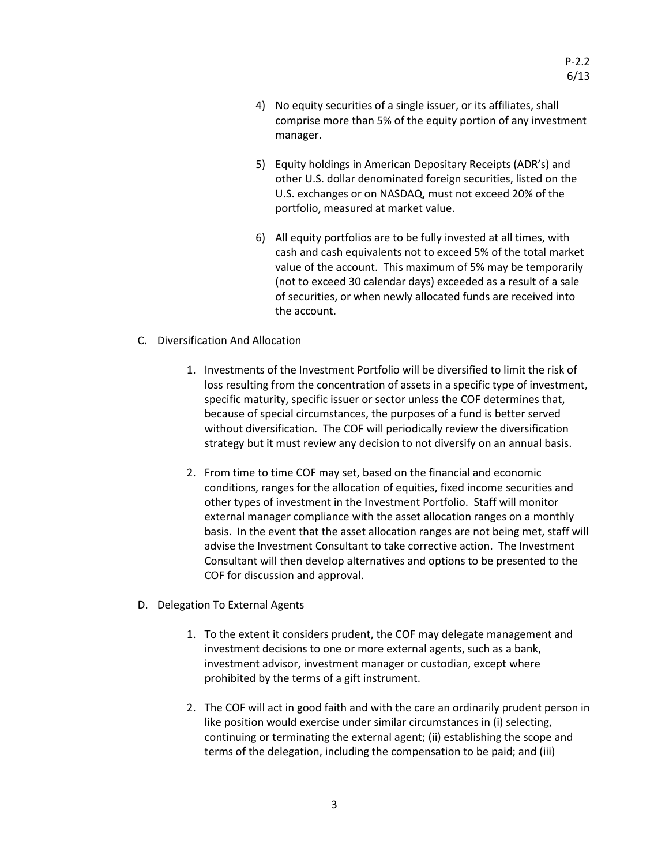- 4) No equity securities of a single issuer, or its affiliates, shall comprise more than 5% of the equity portion of any investment manager.
- 5) Equity holdings in American Depositary Receipts (ADR's) and other U.S. dollar denominated foreign securities, listed on the U.S. exchanges or on NASDAQ, must not exceed 20% of the portfolio, measured at market value.
- 6) All equity portfolios are to be fully invested at all times, with cash and cash equivalents not to exceed 5% of the total market value of the account. This maximum of 5% may be temporarily (not to exceed 30 calendar days) exceeded as a result of a sale of securities, or when newly allocated funds are received into the account.
- C. Diversification And Allocation
	- 1. Investments of the Investment Portfolio will be diversified to limit the risk of loss resulting from the concentration of assets in a specific type of investment, specific maturity, specific issuer or sector unless the COF determines that, because of special circumstances, the purposes of a fund is better served without diversification. The COF will periodically review the diversification strategy but it must review any decision to not diversify on an annual basis.
	- 2. From time to time COF may set, based on the financial and economic conditions, ranges for the allocation of equities, fixed income securities and other types of investment in the Investment Portfolio. Staff will monitor external manager compliance with the asset allocation ranges on a monthly basis. In the event that the asset allocation ranges are not being met, staff will advise the Investment Consultant to take corrective action. The Investment Consultant will then develop alternatives and options to be presented to the COF for discussion and approval.
- D. Delegation To External Agents
	- 1. To the extent it considers prudent, the COF may delegate management and investment decisions to one or more external agents, such as a bank, investment advisor, investment manager or custodian, except where prohibited by the terms of a gift instrument.
	- 2. The COF will act in good faith and with the care an ordinarily prudent person in like position would exercise under similar circumstances in (i) selecting, continuing or terminating the external agent; (ii) establishing the scope and terms of the delegation, including the compensation to be paid; and (iii)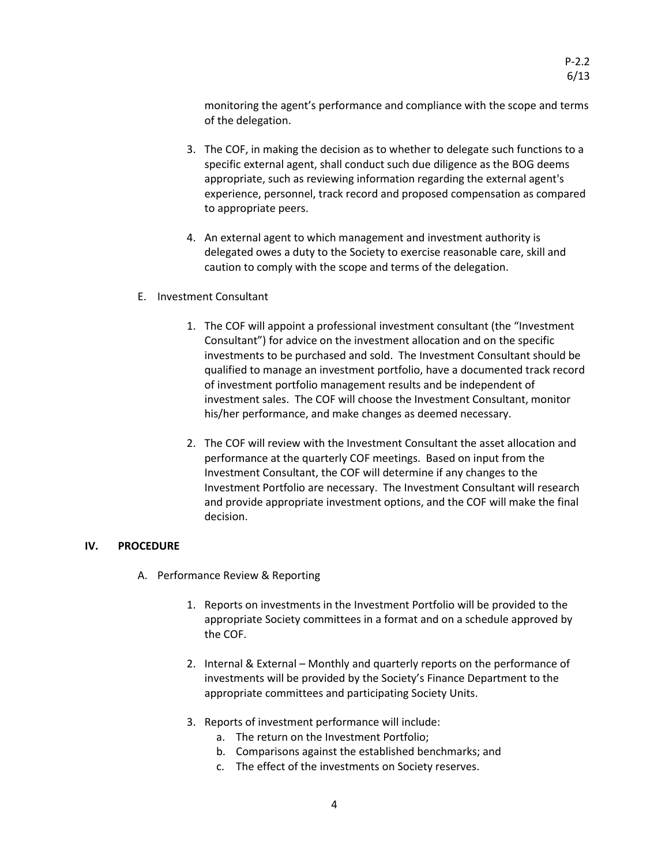monitoring the agent's performance and compliance with the scope and terms of the delegation.

- 3. The COF, in making the decision as to whether to delegate such functions to a specific external agent, shall conduct such due diligence as the BOG deems appropriate, such as reviewing information regarding the external agent's experience, personnel, track record and proposed compensation as compared to appropriate peers.
- 4. An external agent to which management and investment authority is delegated owes a duty to the Society to exercise reasonable care, skill and caution to comply with the scope and terms of the delegation.
- E. Investment Consultant
	- 1. The COF will appoint a professional investment consultant (the "Investment Consultant") for advice on the investment allocation and on the specific investments to be purchased and sold. The Investment Consultant should be qualified to manage an investment portfolio, have a documented track record of investment portfolio management results and be independent of investment sales. The COF will choose the Investment Consultant, monitor his/her performance, and make changes as deemed necessary.
	- 2. The COF will review with the Investment Consultant the asset allocation and performance at the quarterly COF meetings. Based on input from the Investment Consultant, the COF will determine if any changes to the Investment Portfolio are necessary. The Investment Consultant will research and provide appropriate investment options, and the COF will make the final decision.

# **IV. PROCEDURE**

- A. Performance Review & Reporting
	- 1. Reports on investments in the Investment Portfolio will be provided to the appropriate Society committees in a format and on a schedule approved by the COF.
	- 2. Internal & External Monthly and quarterly reports on the performance of investments will be provided by the Society's Finance Department to the appropriate committees and participating Society Units.
	- 3. Reports of investment performance will include:
		- a. The return on the Investment Portfolio;
		- b. Comparisons against the established benchmarks; and
		- c. The effect of the investments on Society reserves.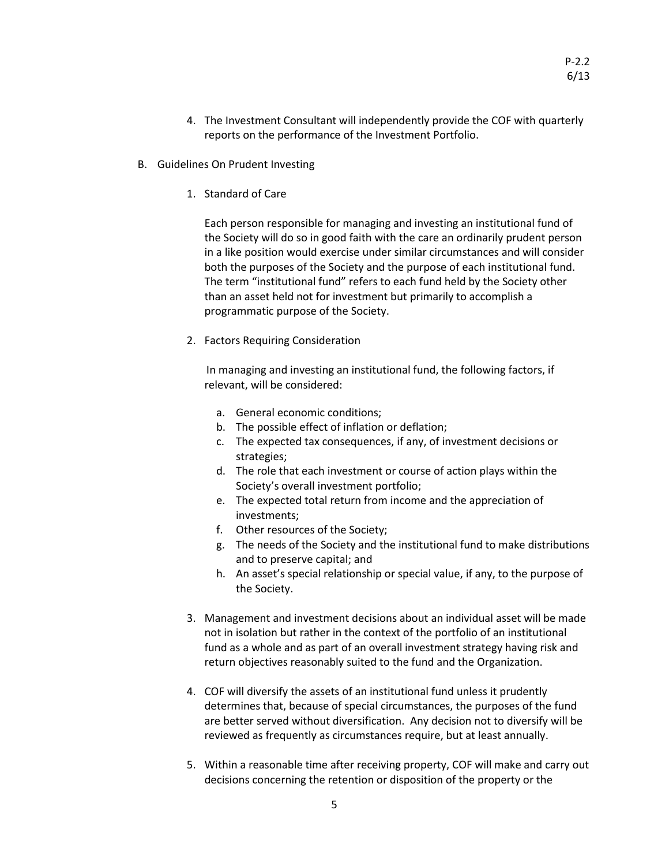- 4. The Investment Consultant will independently provide the COF with quarterly reports on the performance of the Investment Portfolio.
- B. Guidelines On Prudent Investing
	- 1. Standard of Care

Each person responsible for managing and investing an institutional fund of the Society will do so in good faith with the care an ordinarily prudent person in a like position would exercise under similar circumstances and will consider both the purposes of the Society and the purpose of each institutional fund. The term "institutional fund" refers to each fund held by the Society other than an asset held not for investment but primarily to accomplish a programmatic purpose of the Society.

2. Factors Requiring Consideration

In managing and investing an institutional fund, the following factors, if relevant, will be considered:

- a. General economic conditions;
- b. The possible effect of inflation or deflation;
- c. The expected tax consequences, if any, of investment decisions or strategies;
- d. The role that each investment or course of action plays within the Society's overall investment portfolio;
- e. The expected total return from income and the appreciation of investments;
- f. Other resources of the Society;
- g. The needs of the Society and the institutional fund to make distributions and to preserve capital; and
- h. An asset's special relationship or special value, if any, to the purpose of the Society.
- 3. Management and investment decisions about an individual asset will be made not in isolation but rather in the context of the portfolio of an institutional fund as a whole and as part of an overall investment strategy having risk and return objectives reasonably suited to the fund and the Organization.
- 4. COF will diversify the assets of an institutional fund unless it prudently determines that, because of special circumstances, the purposes of the fund are better served without diversification. Any decision not to diversify will be reviewed as frequently as circumstances require, but at least annually.
- 5. Within a reasonable time after receiving property, COF will make and carry out decisions concerning the retention or disposition of the property or the